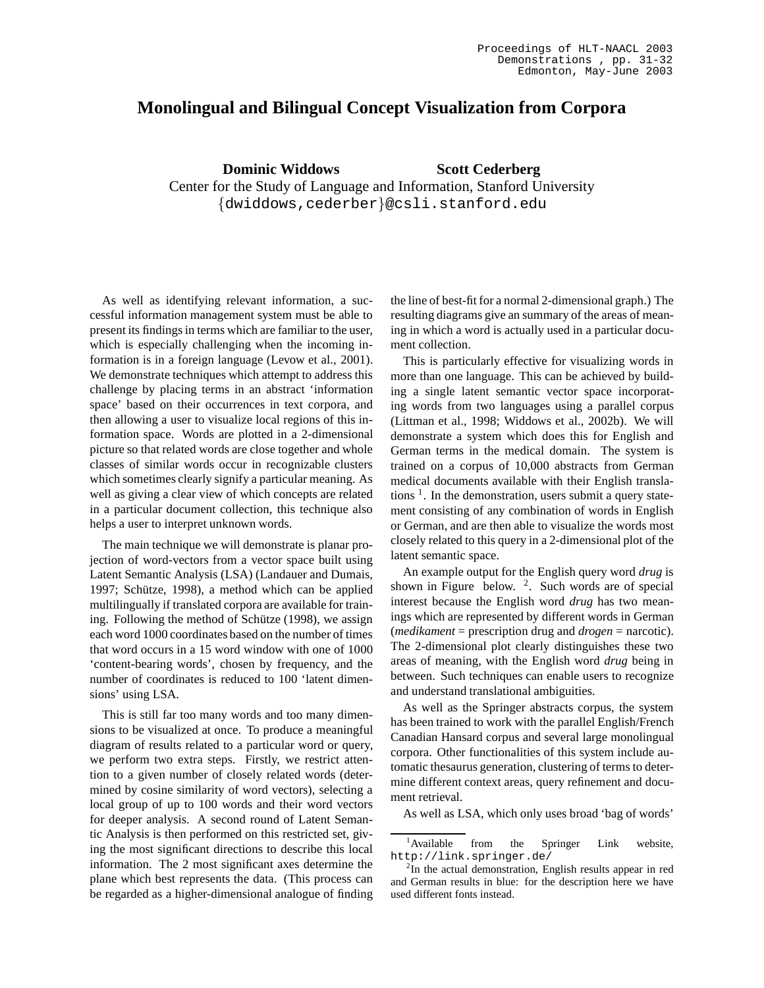## **Monolingual and Bilingual Concept Visualization from Corpora**

**Dominic Widdows Scott Cederberg** Center for the Study of Language and Information, Stanford University {dwiddows,cederber}@csli.stanford.edu

As well as identifying relevant information, a successful information management system must be able to present its findings in terms which are familiar to the user, which is especially challenging when the incoming information is in a foreign language (Levow et al., 2001). We demonstrate techniques which attempt to address this challenge by placing terms in an abstract 'information space' based on their occurrences in text corpora, and then allowing a user to visualize local regions of this information space. Words are plotted in a 2-dimensional picture so that related words are close together and whole classes of similar words occur in recognizable clusters which sometimes clearly signify a particular meaning. As well as giving a clear view of which concepts are related in a particular document collection, this technique also helps a user to interpret unknown words.

The main technique we will demonstrate is planar projection of word-vectors from a vector space built using Latent Semantic Analysis (LSA) (Landauer and Dumais, 1997; Schütze, 1998), a method which can be applied multilingually if translated corpora are available for training. Following the method of Schütze (1998), we assign each word 1000 coordinates based on the number of times that word occurs in a 15 word window with one of 1000 'content-bearing words', chosen by frequency, and the number of coordinates is reduced to 100 'latent dimensions' using LSA.

This is still far too many words and too many dimensions to be visualized at once. To produce a meaningful diagram of results related to a particular word or query, we perform two extra steps. Firstly, we restrict attention to a given number of closely related words (determined by cosine similarity of word vectors), selecting a local group of up to 100 words and their word vectors for deeper analysis. A second round of Latent Semantic Analysis is then performed on this restricted set, giving the most significant directions to describe this local information. The 2 most significant axes determine the plane which best represents the data. (This process can be regarded as a higher-dimensional analogue of finding the line of best-fit for a normal 2-dimensional graph.) The resulting diagrams give an summary of the areas of meaning in which a word is actually used in a particular document collection.

This is particularly effective for visualizing words in more than one language. This can be achieved by building a single latent semantic vector space incorporating words from two languages using a parallel corpus (Littman et al., 1998; Widdows et al., 2002b). We will demonstrate a system which does this for English and German terms in the medical domain. The system is trained on a corpus of 10,000 abstracts from German medical documents available with their English translations<sup>1</sup>. In the demonstration, users submit a query statement consisting of any combination of words in English or German, and are then able to visualize the words most closely related to this query in a 2-dimensional plot of the latent semantic space.

An example output for the English query word *drug* is shown in Figure below.  $2$ . Such words are of special interest because the English word *drug* has two meanings which are represented by different words in German (*medikament* = prescription drug and *drogen* = narcotic). The 2-dimensional plot clearly distinguishes these two areas of meaning, with the English word *drug* being in between. Such techniques can enable users to recognize and understand translational ambiguities.

As well as the Springer abstracts corpus, the system has been trained to work with the parallel English/French Canadian Hansard corpus and several large monolingual corpora. Other functionalities of this system include automatic thesaurus generation, clustering of terms to determine different context areas, query refinement and document retrieval.

As well as LSA, which only uses broad 'bag of words'

<sup>&</sup>lt;sup>1</sup>Available from the Springer Link website, http://link.springer.de/

<sup>&</sup>lt;sup>2</sup>In the actual demonstration, English results appear in red and German results in blue: for the description here we have used different fonts instead.